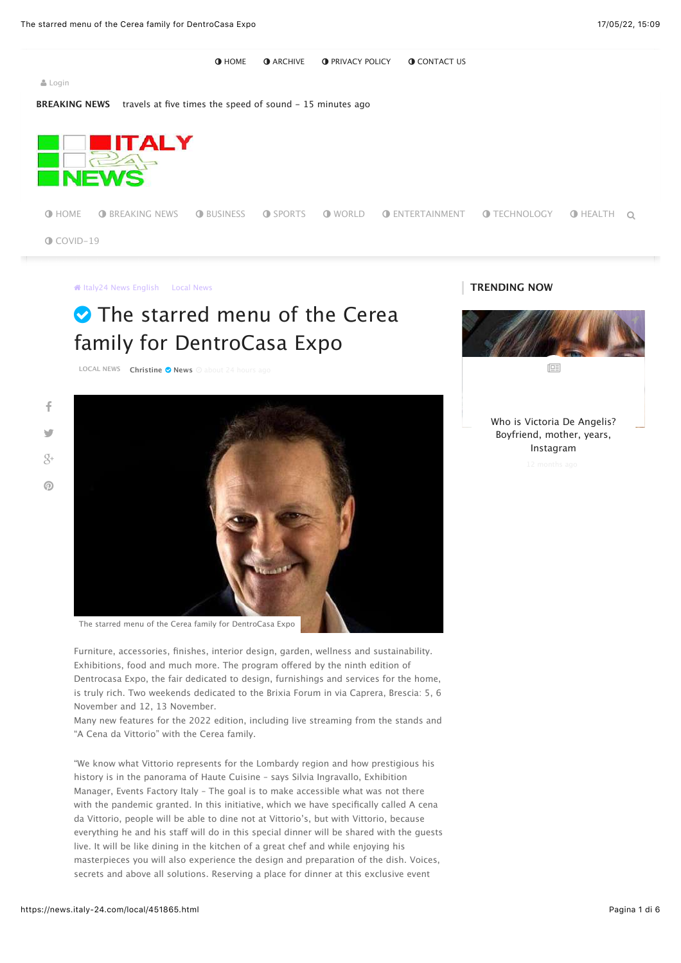**O [HOME](https://news.italy-24.com/) : O [ARCHIVE](https://news.italy-24.com/archive.html) : O [PRIVACY](https://news.italy-24.com/page/Privacy-Policy.html) POLICY : O [CONTACT](https://news.italy-24.com/contact-us.html) US** 

+ [Login](https://news.italy-24.com/login.html?return=/local/451865.html)

**BREAKING NEWS** [travels](https://news.italy-24.com/world/452952.html) at five times the speed of sound - 15 minutes ago



**O** [HOME](https://news.italy-24.com/) **O** [BREAKING](https://news.italy-24.com/News) NEWS **O** [BUSINESS](https://news.italy-24.com/business) **O** [SPORTS](https://news.italy-24.com/sports/) **O** [WORLD](https://news.italy-24.com/world) **O** [ENTERTAINMENT](https://news.italy-24.com/entertainment/) **O** [TECHNOLOGY](https://news.italy-24.com/technology) **O** HEALTH Q

 $\bigcirc$  [COVID-19](https://news.italy-24.com/covid-19)

**Italy24 News [English](https://news.italy-24.com/)** Local [News](https://news.italy-24.com/local)

## The starred menu of the Cerea family for DentroCasa Expo

**[LOCAL](https://news.italy-24.com/local) NEWS [Christine](https://news.italy-24.com/search/%D9%83%D8%A7%D8%AA%D8%A8:Christine) & [News](https://news.italy-24.com/sources/1/News.html)** 

[%](https://www.facebook.com/sharer/sharer.php?u=https://news.italy-24.com/local/451865.html) [&](https://twitter.com/intent/tweet?original_referer=https://news.italy-24.com/local/451865.html&source=tweetbutton&text=The%20starred%20menu%20of%20the%20Cerea%20family%20for%20DentroCasa%20Expo&url=https://news.italy-24.com/local/451865.html&via=)  $\overline{Q}$ +  $\odot$ 



The starred menu of the Cerea family for [DentroCasa](https://news.italy-24.com/content/uploads/2022/05/16/93a8a9b09c.jpg) Expo

Furniture, accessories, finishes, interior design, garden, wellness and sustainability. Exhibitions, food and much more. The program offered by the ninth edition of Dentrocasa Expo, the fair dedicated to design, furnishings and services for the home, is truly rich. Two weekends dedicated to the Brixia Forum in via Caprera, Brescia: 5, 6 November and 12, 13 November.

Many new features for the 2022 edition, including live streaming from the stands and "A Cena da Vittorio" with the Cerea family.

"We know what Vittorio represents for the Lombardy region and how prestigious his history is in the panorama of Haute Cuisine – says Silvia Ingravallo, Exhibition Manager, Events Factory Italy – The goal is to make accessible what was not there with the pandemic granted. In this initiative, which we have specifically called A cena da Vittorio, people will be able to dine not at Vittorio's, but with Vittorio, because everything he and his staff will do in this special dinner will be shared with the guests live. It will be like dining in the kitchen of a great chef and while enjoying his masterpieces you will also experience the design and preparation of the dish. Voices, secrets and above all solutions. Reserving a place for dinner at this exclusive event



**TRENDING NOW**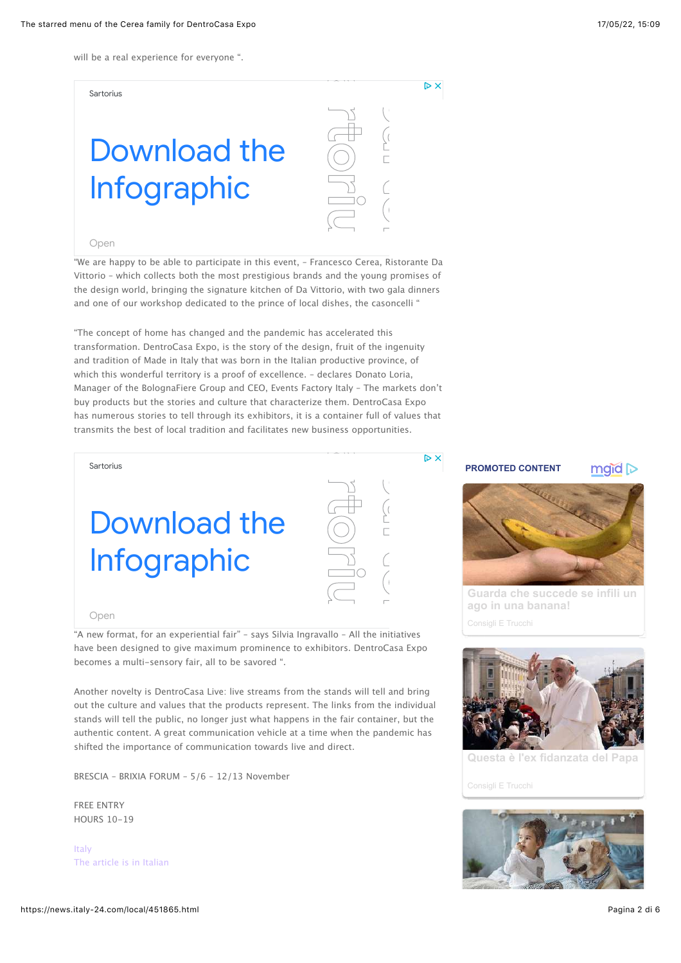will be a real experience for everyone ".

Sartorius

# [Download the](https://www.googleadservices.com/pagead/aclk?sa=L&ai=CmZ_lWp6DYsKnOMaXtweEsaSgDPbT7Odj9JbLjsMPwI23ARABIP7M1HVg_aqmhPwSoAGPhM7NAcgBAakCydKILbSTsT6oAwGqBOcBT9Ce_dJg6n8RwHfCbxtXSVNP1SNJQ-1EP5fEGWxTqRwS7uMbNAt5VWmleI6ycsj_aVU5L4zb9ZXWQxlnZtNOcNcT5cW3W_dW7d2k0Hk08lum9N_2fmUDBRkVGr4JauIJpoFqiZsJeR14bj322PTlU4Hjj8inV0wYh2omOsuz2sIH6awXqkr37hlqo_DYm6l-siJNktEbaUSBX81AFIzA8q5leN0fXo_Glq9qnC3OoI1RTOmWjvzcikuJbGB8TVDdGRUAwhIyLlnUd2qDY01d6d9VA9KXJ0VaoGN7cqiX3za5X3Zu2ZJVwASpn6Xs_gOAB9n7sbICqAeOzhuoB5PYG6gH7paxAqgH_p6xAqgHpKOxAqgH1ckbqAemvhuoB_PRG6gHltgbqAeqm7ECqAffn7EC2AcB0ggJCIjhgHAQARgfsQnjifOL0QyZeIAKAZgLAcgLAbgMAdgTDYgUAtAVAfgWAYAXAQ&ae=1&num=1&cid=CAASUORoPdLLey8o9rmQ_IBYfUWFCP096BeV3w4M9nfFBanSMLbGRvFY-rDh5q9hGHFqI9s-KCjLERRtS3e4Kq8Hv7znBAYAKROoBkdQ34QcHaNv&sig=AOD64_2qyZloUlhzJrhrJGUz_pQFrBhkUQ&client=ca-pub-3829688292483465&nb=0&adurl=https://www.sartorius.com/en/pr/covid-19-solutions/covid-19-research-products/covid-19-resources/strategies-to-improve-laboratory-ergonomics-infographic?utm_source=google&utm_medium=cpc&utm_campaign=2021-covid-19-virology&utm_term=covid-19&utm_content=product-page&gclid=EAIaIQobChMIwry7uM3m9wIVxsvtCh2EGAnEEAEYASAAEgJoF_D_BwE) Infographic

#### [Open](https://www.googleadservices.com/pagead/aclk?sa=L&ai=CmZ_lWp6DYsKnOMaXtweEsaSgDPbT7Odj9JbLjsMPwI23ARABIP7M1HVg_aqmhPwSoAGPhM7NAcgBAakCydKILbSTsT6oAwGqBOcBT9Ce_dJg6n8RwHfCbxtXSVNP1SNJQ-1EP5fEGWxTqRwS7uMbNAt5VWmleI6ycsj_aVU5L4zb9ZXWQxlnZtNOcNcT5cW3W_dW7d2k0Hk08lum9N_2fmUDBRkVGr4JauIJpoFqiZsJeR14bj322PTlU4Hjj8inV0wYh2omOsuz2sIH6awXqkr37hlqo_DYm6l-siJNktEbaUSBX81AFIzA8q5leN0fXo_Glq9qnC3OoI1RTOmWjvzcikuJbGB8TVDdGRUAwhIyLlnUd2qDY01d6d9VA9KXJ0VaoGN7cqiX3za5X3Zu2ZJVwASpn6Xs_gOAB9n7sbICqAeOzhuoB5PYG6gH7paxAqgH_p6xAqgHpKOxAqgH1ckbqAemvhuoB_PRG6gHltgbqAeqm7ECqAffn7EC2AcB0ggJCIjhgHAQARgfsQnjifOL0QyZeIAKAZgLAcgLAbgMAdgTDYgUAtAVAfgWAYAXAQ&ae=1&num=1&cid=CAASUORoPdLLey8o9rmQ_IBYfUWFCP096BeV3w4M9nfFBanSMLbGRvFY-rDh5q9hGHFqI9s-KCjLERRtS3e4Kq8Hv7znBAYAKROoBkdQ34QcHaNv&sig=AOD64_2qyZloUlhzJrhrJGUz_pQFrBhkUQ&client=ca-pub-3829688292483465&nb=8&adurl=https://www.sartorius.com/en/pr/covid-19-solutions/covid-19-research-products/covid-19-resources/strategies-to-improve-laboratory-ergonomics-infographic?utm_source=google&utm_medium=cpc&utm_campaign=2021-covid-19-virology&utm_term=covid-19&utm_content=product-page&gclid=EAIaIQobChMIwry7uM3m9wIVxsvtCh2EGAnEEAEYASAAEgJoF_D_BwE)

"We are happy to be able to participate in this event, – Francesco Cerea, Ristorante Da Vittorio – which collects both the most prestigious brands and the young promises of the design world, bringing the signature kitchen of Da Vittorio, with two gala dinners and one of our workshop dedicated to the prince of local dishes, the casoncelli " **Samon Contracts**<br>
C<br> **Samon Contracts**<br> **Samon Contracts**<br> **Samon Contracts**<br> **Samon Contracts**<br> **Samon Contracts Samuel** 

"The concept of home has changed and the pandemic has accelerated this transformation. DentroCasa Expo, is the story of the design, fruit of the ingenuity and tradition of Made in Italy that was born in the Italian productive province, of which this wonderful territory is a proof of excellence. – declares Donato Loria, Manager of the BolognaFiere Group and CEO, Events Factory Italy – The markets don't buy products but the stories and culture that characterize them. DentroCasa Expo has numerous stories to tell through its exhibitors, it is a container full of values that transmits the best of local tradition and facilitates new business opportunities.

[Download the](https://www.googleadservices.com/pagead/aclk?sa=L&ai=CyZVfWp6DYtepOYqstwfOw6jwBPbT7Odj9JbLjsMPwI23ARABIP7M1HVg_aqmhPwSoAGPhM7NAcgBAakCmfZjtiGZsT6oAwGqBOcBT9ADn2TUXnCWjwlohgyvmpSg5ueGYEtrWu2valRGHQgbJwf-lbb_o8zvRiVJr1bXYGgfossUl7iLIlKsu8jO_xMCjrot68Yg_IP5CZL-vCkhOgep9lGmjANwpShSrMvWOSstPZlIg3Zb-pNuk3LrvISNElY3Mq093eDpF9XDQBZpvpHJohCwFXlx2J9R36NRrGOta8CkMRjSpHLLKNYmDG-MsOpPxk5wrAekVg40XCYXODk3wzbywslRp7-4xA5bhWrO2GLli6jGZSEH39Hj4FObS8oshHNj6apwC4Yf3Wjn9LmRlFgDwASpn6Xs_gOAB9n7sbICqAeOzhuoB5PYG6gH7paxAqgH_p6xAqgHpKOxAqgH1ckbqAemvhuoB_PRG6gHltgbqAeqm7ECqAffn7EC2AcB0ggJCIjhgHAQARgfsQnjifOL0QyZeIAKAZgLAcgLAbgMAdgTDYgUAtAVAfgWAYAXAQ&ae=1&num=1&cid=CAASUORo7niP5raaL68UBZiPaB0bQdRHBNhm47sazV4P2stWKF7KgEfNg3rBievs9qNlg5ZyGsmfSb4Gt22Q0n8sjwHDBOX1_fnjtQArWAmglFTj&sig=AOD64_1fb_xIodYWUAlwxf9dtvPTGeakqg&client=ca-pub-3829688292483465&nb=0&adurl=https://www.sartorius.com/en/pr/covid-19-solutions/covid-19-research-products/covid-19-resources/strategies-to-improve-laboratory-ergonomics-infographic?utm_source=google&utm_medium=cpc&utm_campaign=2021-covid-19-virology&utm_term=covid-19&utm_content=product-page&gclid=EAIaIQobChMI1768uM3m9wIVCtbtCh3OIQpOEAEYASAAEgJgH_D_BwE) Infographic



#### [Open](https://www.googleadservices.com/pagead/aclk?sa=L&ai=CyZVfWp6DYtepOYqstwfOw6jwBPbT7Odj9JbLjsMPwI23ARABIP7M1HVg_aqmhPwSoAGPhM7NAcgBAakCmfZjtiGZsT6oAwGqBOcBT9ADn2TUXnCWjwlohgyvmpSg5ueGYEtrWu2valRGHQgbJwf-lbb_o8zvRiVJr1bXYGgfossUl7iLIlKsu8jO_xMCjrot68Yg_IP5CZL-vCkhOgep9lGmjANwpShSrMvWOSstPZlIg3Zb-pNuk3LrvISNElY3Mq093eDpF9XDQBZpvpHJohCwFXlx2J9R36NRrGOta8CkMRjSpHLLKNYmDG-MsOpPxk5wrAekVg40XCYXODk3wzbywslRp7-4xA5bhWrO2GLli6jGZSEH39Hj4FObS8oshHNj6apwC4Yf3Wjn9LmRlFgDwASpn6Xs_gOAB9n7sbICqAeOzhuoB5PYG6gH7paxAqgH_p6xAqgHpKOxAqgH1ckbqAemvhuoB_PRG6gHltgbqAeqm7ECqAffn7EC2AcB0ggJCIjhgHAQARgfsQnjifOL0QyZeIAKAZgLAcgLAbgMAdgTDYgUAtAVAfgWAYAXAQ&ae=1&num=1&cid=CAASUORo7niP5raaL68UBZiPaB0bQdRHBNhm47sazV4P2stWKF7KgEfNg3rBievs9qNlg5ZyGsmfSb4Gt22Q0n8sjwHDBOX1_fnjtQArWAmglFTj&sig=AOD64_1fb_xIodYWUAlwxf9dtvPTGeakqg&client=ca-pub-3829688292483465&nb=8&adurl=https://www.sartorius.com/en/pr/covid-19-solutions/covid-19-research-products/covid-19-resources/strategies-to-improve-laboratory-ergonomics-infographic?utm_source=google&utm_medium=cpc&utm_campaign=2021-covid-19-virology&utm_term=covid-19&utm_content=product-page&gclid=EAIaIQobChMI1768uM3m9wIVCtbtCh3OIQpOEAEYASAAEgJgH_D_BwE)

Sartorius

"A new format, for an experiential fair" – says Silvia Ingravallo – All the initiatives have been designed to give maximum prominence to exhibitors. DentroCasa Expo becomes a multi-sensory fair, all to be savored ".

Another novelty is DentroCasa Live: live streams from the stands will tell and bring out the culture and values that the products represent. The links from the individual stands will tell the public, no longer just what happens in the fair container, but the authentic content. A great communication vehicle at a time when the pandemic has shifted the importance of communication towards live and direct.

BRESCIA – BRIXIA FORUM – 5/6 – 12/13 November

FREE ENTRY HOURS 10-19

[Italy](https://news.italy-24.com/tag/Italy) The [article](https://source.by-24.com/full?api=3f022c5443eba3d8e95a3e65aee8b857aa20d2b1&url=aHR0cHM6Ly9jb25vc2NpbWlsYW5vLml0LzIwMjIvMDUvMTYvaWwtbWVudS1zdGVsbGF0by1kZWxsYS1mYW1pZ2xpYS1jZXJlYS1wZXItZGVudHJvY2FzYS1leHBvLw==&type=2) is in Italian



 $\triangleright$  X

 $\triangleright$  X

### $midp$



**[Guarda che succede se infili un](https://clck.mgid.com/ghits/12127211/i/57625056/0/pp/1/2?h=Oxiy7BQws__X3oTYxBpwYVF_buwSKULzI_Vu_nlLLiQV03_JMvtzu-tMgmkzjOwe&rid=79fff7d1-d5e2-11ec-97d5-e43d1a2a04aa&ts=google.com&tt=Organic&att=2&cpm=1&gbpp=1&abd=1&iv=11&prid=10&ct=1&gdpr=1&st=120) ago in una banana!**



**[Questa è l'ex fidanzata del Papa](https://clck.mgid.com/ghits/12578006/i/57625056/0/pp/2/2?h=hnnuZRRcYJJJzdK7VFOjlR-2-AbGWAX2LTDfjWPziJueqNnn60lbuhoJ2vG74jQE&rid=79fff7d1-d5e2-11ec-97d5-e43d1a2a04aa&ts=google.com&tt=Organic&att=2&cpm=1&iv=11&prid=10&ct=1&gdpr=1&st=120)**

[Consigli E Trucchi](https://clck.mgid.com/ghits/12578006/i/57625056/0/pp/2/2?h=hnnuZRRcYJJJzdK7VFOjlR-2-AbGWAX2LTDfjWPziJueqNnn60lbuhoJ2vG74jQE&rid=79fff7d1-d5e2-11ec-97d5-e43d1a2a04aa&ts=google.com&tt=Organic&att=2&cpm=1&iv=11&prid=10&ct=1&gdpr=1&st=120)